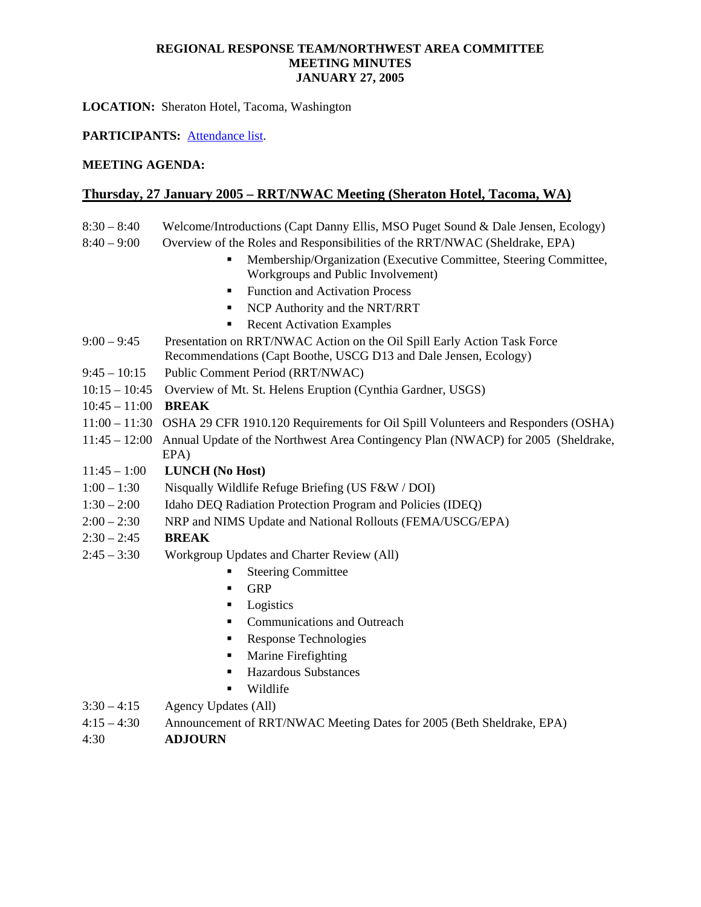**LOCATION:** Sheraton Hotel, Tacoma, Washington

# **PARTICIPANTS:** Attendance list.

## **MEETING AGENDA:**

# **Thursday, 27 January 2005 – RRT/NWAC Meeting (Sheraton Hotel, Tacoma, WA)**

- 8:30 8:40 Welcome/Introductions (Capt Danny Ellis, MSO Puget Sound & Dale Jensen, Ecology)
- 8:40 9:00 Overview of the Roles and Responsibilities of the RRT/NWAC (Sheldrake, EPA)
	- Membership/Organization (Executive Committee, Steering Committee, Workgroups and Public Involvement)
	- Function and Activation Process
	- NCP Authority and the NRT/RRT
	- Recent Activation Examples
- 9:00 9:45 Presentation on RRT/NWAC Action on the Oil Spill Early Action Task Force Recommendations (Capt Boothe, USCG D13 and Dale Jensen, Ecology)
- 9:45 10:15 Public Comment Period (RRT/NWAC)
- 10:15 10:45 Overview of Mt. St. Helens Eruption (Cynthia Gardner, USGS)
- 10:45 11:00 **BREAK**
- 11:00 11:30 OSHA 29 CFR 1910.120 Requirements for Oil Spill Volunteers and Responders (OSHA)
- 11:45 12:00 Annual Update of the Northwest Area Contingency Plan (NWACP) for 2005 (Sheldrake,
	- EPA)
- 11:45 1:00 **LUNCH (No Host)**
- 1:00 1:30 Nisqually Wildlife Refuge Briefing (US F&W / DOI)
- 1:30 2:00 Idaho DEQ Radiation Protection Program and Policies (IDEQ)
- 2:00 2:30 NRP and NIMS Update and National Rollouts (FEMA/USCG/EPA)

# 2:30 – 2:45 **BREAK**

- 2:45 3:30 Workgroup Updates and Charter Review (All)
	- **Steering Committee**
	- **GRP**
	- **Logistics**
	- **Communications and Outreach**
	- Response Technologies
	- **Marine Firefighting**
	- Hazardous Substances
	- **Wildlife**
- $3:30-4:15$  Agency Updates (All)
- 4:15 4:30 Announcement of RRT/NWAC Meeting Dates for 2005 (Beth Sheldrake, EPA)
- 4:30 **ADJOURN**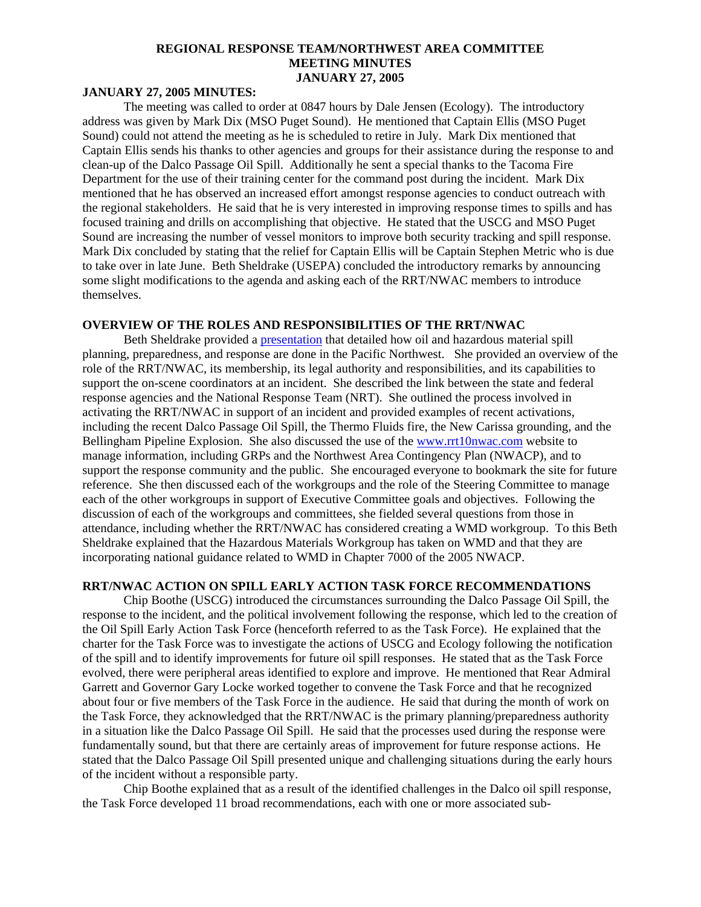### **JANUARY 27, 2005 MINUTES:**

The meeting was called to order at 0847 hours by Dale Jensen (Ecology). The introductory address was given by Mark Dix (MSO Puget Sound). He mentioned that Captain Ellis (MSO Puget Sound) could not attend the meeting as he is scheduled to retire in July. Mark Dix mentioned that Captain Ellis sends his thanks to other agencies and groups for their assistance during the response to and clean-up of the Dalco Passage Oil Spill. Additionally he sent a special thanks to the Tacoma Fire Department for the use of their training center for the command post during the incident. Mark Dix mentioned that he has observed an increased effort amongst response agencies to conduct outreach with the regional stakeholders. He said that he is very interested in improving response times to spills and has focused training and drills on accomplishing that objective. He stated that the USCG and MSO Puget Sound are increasing the number of vessel monitors to improve both security tracking and spill response. Mark Dix concluded by stating that the relief for Captain Ellis will be Captain Stephen Metric who is due to take over in late June. Beth Sheldrake (USEPA) concluded the introductory remarks by announcing some slight modifications to the agenda and asking each of the RRT/NWAC members to introduce themselves.

### **OVERVIEW OF THE ROLES AND RESPONSIBILITIES OF THE RRT/NWAC**

 Beth Sheldrake provided a [presentation](http://portal.ene.com/files/temp/RRT%5FNWAC overview%5FTacoma%2Eppt#333,1,Spill Planning, Preparedness, and Response in the Northwest) that detailed how oil and hazardous material spill planning, preparedness, and response are done in the Pacific Northwest. She provided an overview of the role of the RRT/NWAC, its membership, its legal authority and responsibilities, and its capabilities to support the on-scene coordinators at an incident. She described the link between the state and federal response agencies and the National Response Team (NRT). She outlined the process involved in activating the RRT/NWAC in support of an incident and provided examples of recent activations, including the recent Dalco Passage Oil Spill, the Thermo Fluids fire, the New Carissa grounding, and the Bellingham Pipeline Explosion. She also discussed the use of the [www.rrt10nwac.com](http://www.rrt10nwac.com/) website to manage information, including GRPs and the Northwest Area Contingency Plan (NWACP), and to support the response community and the public. She encouraged everyone to bookmark the site for future reference. She then discussed each of the workgroups and the role of the Steering Committee to manage each of the other workgroups in support of Executive Committee goals and objectives. Following the discussion of each of the workgroups and committees, she fielded several questions from those in attendance, including whether the RRT/NWAC has considered creating a WMD workgroup. To this Beth Sheldrake explained that the Hazardous Materials Workgroup has taken on WMD and that they are incorporating national guidance related to WMD in Chapter 7000 of the 2005 NWACP.

# **RRT/NWAC ACTION ON SPILL EARLY ACTION TASK FORCE RECOMMENDATIONS**

Chip Boothe (USCG) introduced the circumstances surrounding the Dalco Passage Oil Spill, the response to the incident, and the political involvement following the response, which led to the creation of the Oil Spill Early Action Task Force (henceforth referred to as the Task Force). He explained that the charter for the Task Force was to investigate the actions of USCG and Ecology following the notification of the spill and to identify improvements for future oil spill responses. He stated that as the Task Force evolved, there were peripheral areas identified to explore and improve. He mentioned that Rear Admiral Garrett and Governor Gary Locke worked together to convene the Task Force and that he recognized about four or five members of the Task Force in the audience. He said that during the month of work on the Task Force, they acknowledged that the RRT/NWAC is the primary planning/preparedness authority in a situation like the Dalco Passage Oil Spill. He said that the processes used during the response were fundamentally sound, but that there are certainly areas of improvement for future response actions. He stated that the Dalco Passage Oil Spill presented unique and challenging situations during the early hours of the incident without a responsible party.

Chip Boothe explained that as a result of the identified challenges in the Dalco oil spill response, the Task Force developed 11 broad recommendations, each with one or more associated sub-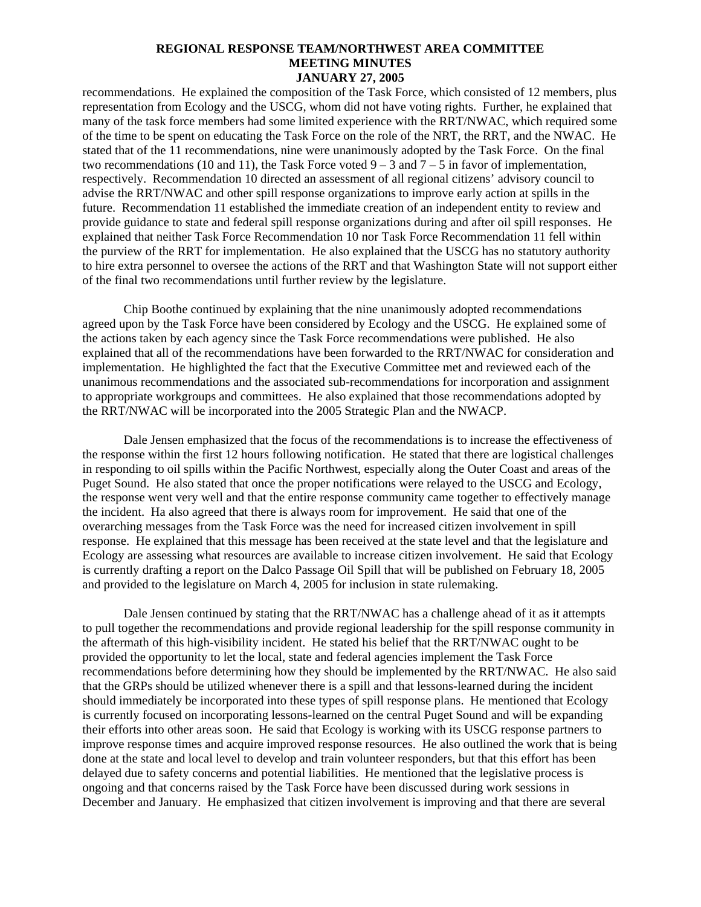recommendations. He explained the composition of the Task Force, which consisted of 12 members, plus representation from Ecology and the USCG, whom did not have voting rights. Further, he explained that many of the task force members had some limited experience with the RRT/NWAC, which required some of the time to be spent on educating the Task Force on the role of the NRT, the RRT, and the NWAC. He stated that of the 11 recommendations, nine were unanimously adopted by the Task Force. On the final two recommendations (10 and 11), the Task Force voted  $9 - 3$  and  $7 - 5$  in favor of implementation, respectively. Recommendation 10 directed an assessment of all regional citizens' advisory council to advise the RRT/NWAC and other spill response organizations to improve early action at spills in the future. Recommendation 11 established the immediate creation of an independent entity to review and provide guidance to state and federal spill response organizations during and after oil spill responses. He explained that neither Task Force Recommendation 10 nor Task Force Recommendation 11 fell within the purview of the RRT for implementation. He also explained that the USCG has no statutory authority to hire extra personnel to oversee the actions of the RRT and that Washington State will not support either of the final two recommendations until further review by the legislature.

Chip Boothe continued by explaining that the nine unanimously adopted recommendations agreed upon by the Task Force have been considered by Ecology and the USCG. He explained some of the actions taken by each agency since the Task Force recommendations were published. He also explained that all of the recommendations have been forwarded to the RRT/NWAC for consideration and implementation. He highlighted the fact that the Executive Committee met and reviewed each of the unanimous recommendations and the associated sub-recommendations for incorporation and assignment to appropriate workgroups and committees. He also explained that those recommendations adopted by the RRT/NWAC will be incorporated into the 2005 Strategic Plan and the NWACP.

Dale Jensen emphasized that the focus of the recommendations is to increase the effectiveness of the response within the first 12 hours following notification. He stated that there are logistical challenges in responding to oil spills within the Pacific Northwest, especially along the Outer Coast and areas of the Puget Sound. He also stated that once the proper notifications were relayed to the USCG and Ecology, the response went very well and that the entire response community came together to effectively manage the incident. Ha also agreed that there is always room for improvement. He said that one of the overarching messages from the Task Force was the need for increased citizen involvement in spill response. He explained that this message has been received at the state level and that the legislature and Ecology are assessing what resources are available to increase citizen involvement. He said that Ecology is currently drafting a report on the Dalco Passage Oil Spill that will be published on February 18, 2005 and provided to the legislature on March 4, 2005 for inclusion in state rulemaking.

Dale Jensen continued by stating that the RRT/NWAC has a challenge ahead of it as it attempts to pull together the recommendations and provide regional leadership for the spill response community in the aftermath of this high-visibility incident. He stated his belief that the RRT/NWAC ought to be provided the opportunity to let the local, state and federal agencies implement the Task Force recommendations before determining how they should be implemented by the RRT/NWAC. He also said that the GRPs should be utilized whenever there is a spill and that lessons-learned during the incident should immediately be incorporated into these types of spill response plans. He mentioned that Ecology is currently focused on incorporating lessons-learned on the central Puget Sound and will be expanding their efforts into other areas soon. He said that Ecology is working with its USCG response partners to improve response times and acquire improved response resources. He also outlined the work that is being done at the state and local level to develop and train volunteer responders, but that this effort has been delayed due to safety concerns and potential liabilities. He mentioned that the legislative process is ongoing and that concerns raised by the Task Force have been discussed during work sessions in December and January. He emphasized that citizen involvement is improving and that there are several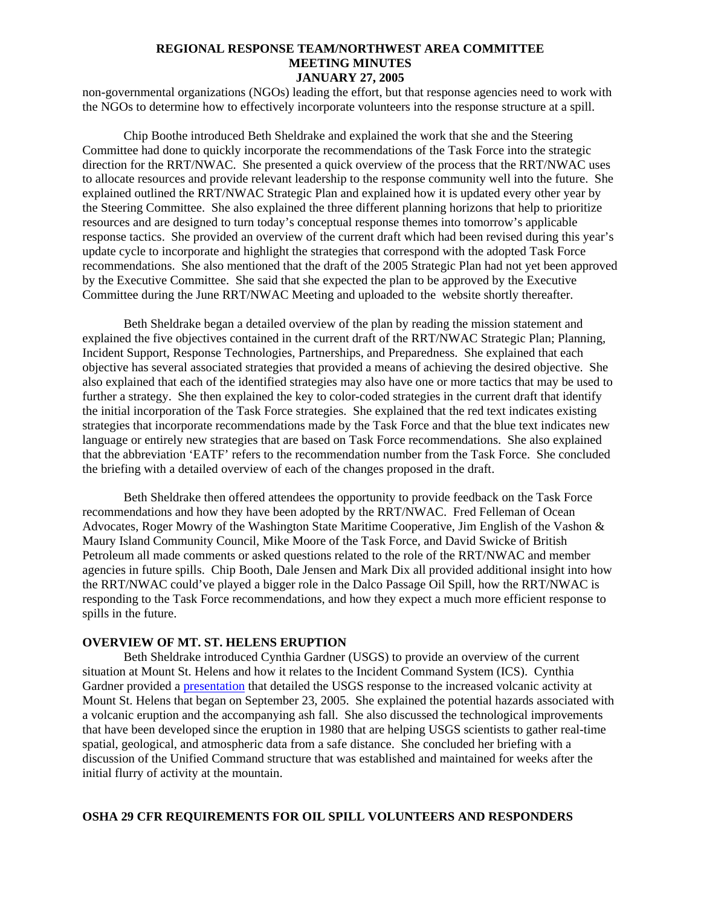non-governmental organizations (NGOs) leading the effort, but that response agencies need to work with the NGOs to determine how to effectively incorporate volunteers into the response structure at a spill.

Chip Boothe introduced Beth Sheldrake and explained the work that she and the Steering Committee had done to quickly incorporate the recommendations of the Task Force into the strategic direction for the RRT/NWAC. She presented a quick overview of the process that the RRT/NWAC uses to allocate resources and provide relevant leadership to the response community well into the future. She explained outlined the RRT/NWAC Strategic Plan and explained how it is updated every other year by the Steering Committee. She also explained the three different planning horizons that help to prioritize resources and are designed to turn today's conceptual response themes into tomorrow's applicable response tactics. She provided an overview of the current draft which had been revised during this year's update cycle to incorporate and highlight the strategies that correspond with the adopted Task Force recommendations. She also mentioned that the draft of the 2005 Strategic Plan had not yet been approved by the Executive Committee. She said that she expected the plan to be approved by the Executive Committee during the June RRT/NWAC Meeting and uploaded to the website shortly thereafter.

Beth Sheldrake began a detailed overview of the plan by reading the mission statement and explained the five objectives contained in the current draft of the RRT/NWAC Strategic Plan; Planning, Incident Support, Response Technologies, Partnerships, and Preparedness. She explained that each objective has several associated strategies that provided a means of achieving the desired objective. She also explained that each of the identified strategies may also have one or more tactics that may be used to further a strategy. She then explained the key to color-coded strategies in the current draft that identify the initial incorporation of the Task Force strategies. She explained that the red text indicates existing strategies that incorporate recommendations made by the Task Force and that the blue text indicates new language or entirely new strategies that are based on Task Force recommendations. She also explained that the abbreviation 'EATF' refers to the recommendation number from the Task Force. She concluded the briefing with a detailed overview of each of the changes proposed in the draft.

Beth Sheldrake then offered attendees the opportunity to provide feedback on the Task Force recommendations and how they have been adopted by the RRT/NWAC. Fred Felleman of Ocean Advocates, Roger Mowry of the Washington State Maritime Cooperative, Jim English of the Vashon & Maury Island Community Council, Mike Moore of the Task Force, and David Swicke of British Petroleum all made comments or asked questions related to the role of the RRT/NWAC and member agencies in future spills. Chip Booth, Dale Jensen and Mark Dix all provided additional insight into how the RRT/NWAC could've played a bigger role in the Dalco Passage Oil Spill, how the RRT/NWAC is responding to the Task Force recommendations, and how they expect a much more efficient response to spills in the future.

### **OVERVIEW OF MT. ST. HELENS ERUPTION**

Beth Sheldrake introduced Cynthia Gardner (USGS) to provide an overview of the current situation at Mount St. Helens and how it relates to the Incident Command System (ICS). Cynthia Gardner provided a [presentation](http://portal.ene.com/files/temp/Jan%2025%20FEMA%2Eppt) that detailed the USGS response to the increased volcanic activity at Mount St. Helens that began on September 23, 2005. She explained the potential hazards associated with a volcanic eruption and the accompanying ash fall. She also discussed the technological improvements that have been developed since the eruption in 1980 that are helping USGS scientists to gather real-time spatial, geological, and atmospheric data from a safe distance. She concluded her briefing with a discussion of the Unified Command structure that was established and maintained for weeks after the initial flurry of activity at the mountain.

#### **OSHA 29 CFR REQUIREMENTS FOR OIL SPILL VOLUNTEERS AND RESPONDERS**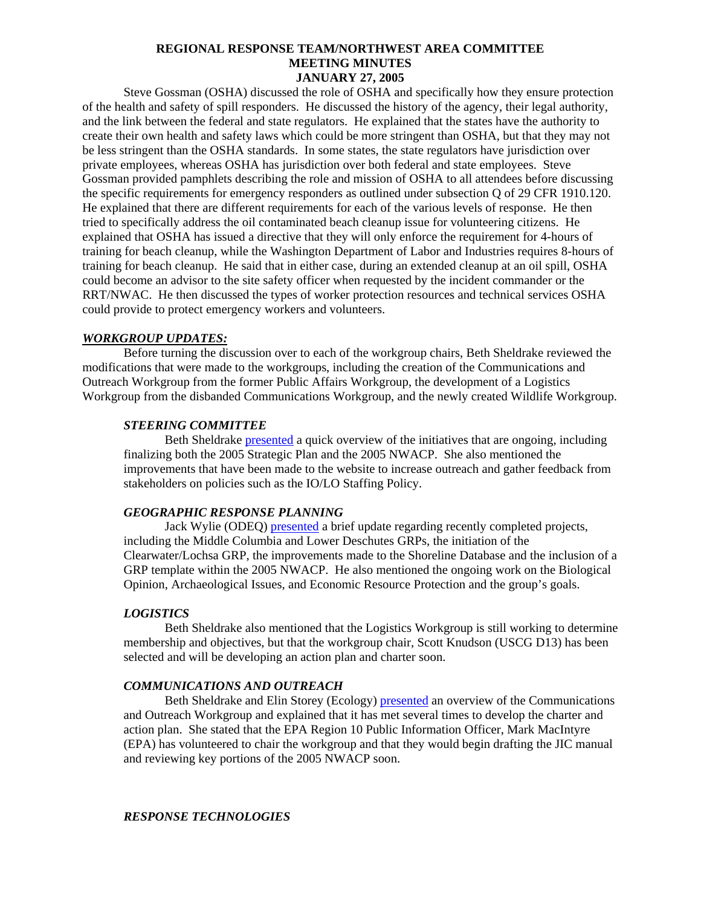Steve Gossman (OSHA) discussed the role of OSHA and specifically how they ensure protection of the health and safety of spill responders. He discussed the history of the agency, their legal authority, and the link between the federal and state regulators. He explained that the states have the authority to create their own health and safety laws which could be more stringent than OSHA, but that they may not be less stringent than the OSHA standards. In some states, the state regulators have jurisdiction over private employees, whereas OSHA has jurisdiction over both federal and state employees. Steve Gossman provided pamphlets describing the role and mission of OSHA to all attendees before discussing the specific requirements for emergency responders as outlined under subsection Q of 29 CFR 1910.120. He explained that there are different requirements for each of the various levels of response. He then tried to specifically address the oil contaminated beach cleanup issue for volunteering citizens. He explained that OSHA has issued a directive that they will only enforce the requirement for 4-hours of training for beach cleanup, while the Washington Department of Labor and Industries requires 8-hours of training for beach cleanup. He said that in either case, during an extended cleanup at an oil spill, OSHA could become an advisor to the site safety officer when requested by the incident commander or the RRT/NWAC. He then discussed the types of worker protection resources and technical services OSHA could provide to protect emergency workers and volunteers.

#### *WORKGROUP UPDATES:*

Before turning the discussion over to each of the workgroup chairs, Beth Sheldrake reviewed the modifications that were made to the workgroups, including the creation of the Communications and Outreach Workgroup from the former Public Affairs Workgroup, the development of a Logistics Workgroup from the disbanded Communications Workgroup, and the newly created Wildlife Workgroup.

#### *STEERING COMMITTEE*

Beth Sheldrake [presented](http://portal.ene.com/files/temp/Steering%20Committee%20Jan%2005%20mtg%2Eppt) a quick overview of the initiatives that are ongoing, including finalizing both the 2005 Strategic Plan and the 2005 NWACP. She also mentioned the improvements that have been made to the website to increase outreach and gather feedback from stakeholders on policies such as the IO/LO Staffing Policy.

### *GEOGRAPHIC RESPONSE PLANNING*

Jack Wylie (ODEQ) [presented](http://portal.ene.com/files/temp/GRP%20Workgroup%20Update%2Eppt) a brief update regarding recently completed projects, including the Middle Columbia and Lower Deschutes GRPs, the initiation of the Clearwater/Lochsa GRP, the improvements made to the Shoreline Database and the inclusion of a GRP template within the 2005 NWACP. He also mentioned the ongoing work on the Biological Opinion, Archaeological Issues, and Economic Resource Protection and the group's goals.

### *LOGISTICS*

Beth Sheldrake also mentioned that the Logistics Workgroup is still working to determine membership and objectives, but that the workgroup chair, Scott Knudson (USCG D13) has been selected and will be developing an action plan and charter soon.

#### *COMMUNICATIONS AND OUTREACH*

Beth Sheldrake and Elin Storey (Ecology) [presented](http://portal.ene.com/files/temp/Comms%20Outreach%20Jan%2005%2Eppt) an overview of the Communications and Outreach Workgroup and explained that it has met several times to develop the charter and action plan. She stated that the EPA Region 10 Public Information Officer, Mark MacIntyre (EPA) has volunteered to chair the workgroup and that they would begin drafting the JIC manual and reviewing key portions of the 2005 NWACP soon.

#### *RESPONSE TECHNOLOGIES*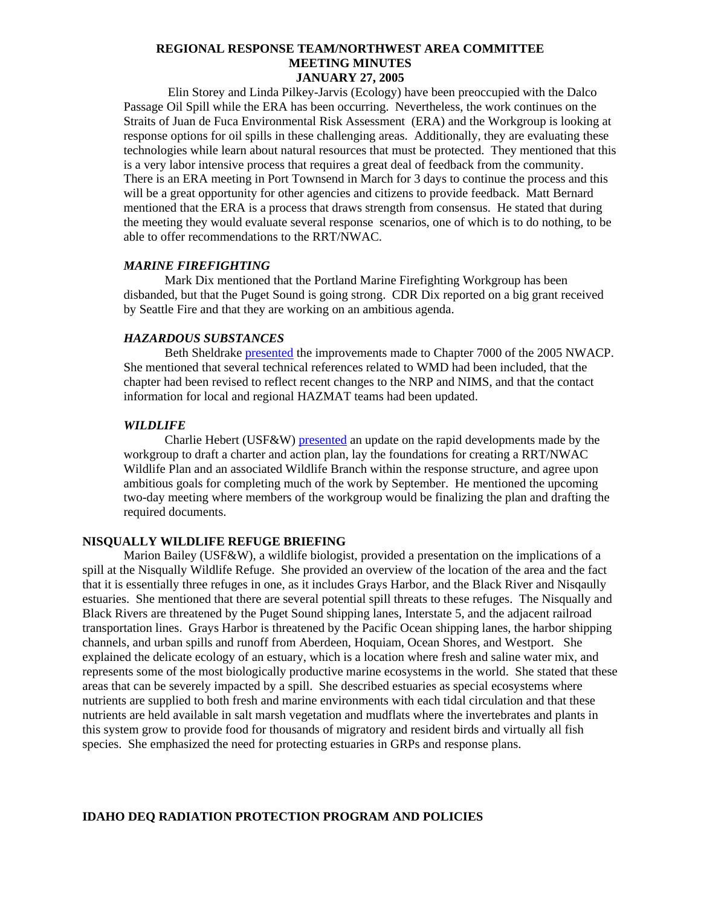Elin Storey and Linda Pilkey-Jarvis (Ecology) have been preoccupied with the Dalco Passage Oil Spill while the ERA has been occurring. Nevertheless, the work continues on the Straits of Juan de Fuca Environmental Risk Assessment (ERA) and the Workgroup is looking at response options for oil spills in these challenging areas. Additionally, they are evaluating these technologies while learn about natural resources that must be protected. They mentioned that this is a very labor intensive process that requires a great deal of feedback from the community. There is an ERA meeting in Port Townsend in March for 3 days to continue the process and this will be a great opportunity for other agencies and citizens to provide feedback. Matt Bernard mentioned that the ERA is a process that draws strength from consensus. He stated that during the meeting they would evaluate several response scenarios, one of which is to do nothing, to be able to offer recommendations to the RRT/NWAC.

#### *MARINE FIREFIGHTING*

Mark Dix mentioned that the Portland Marine Firefighting Workgroup has been disbanded, but that the Puget Sound is going strong. CDR Dix reported on a big grant received by Seattle Fire and that they are working on an ambitious agenda.

#### *HAZARDOUS SUBSTANCES*

Beth Sheldrake [presented](http://portal.ene.com/files/temp/Haz%20Sub%20WG%20Jan%2005%20mtg%2Eppt) the improvements made to Chapter 7000 of the 2005 NWACP. She mentioned that several technical references related to WMD had been included, that the chapter had been revised to reflect recent changes to the NRP and NIMS, and that the contact information for local and regional HAZMAT teams had been updated.

### *WILDLIFE*

Charlie Hebert (USF&W) [presented](http://portal.ene.com/files/temp/WILDLIFE%20WORKGROUP%2Eppt) an update on the rapid developments made by the workgroup to draft a charter and action plan, lay the foundations for creating a RRT/NWAC Wildlife Plan and an associated Wildlife Branch within the response structure, and agree upon ambitious goals for completing much of the work by September. He mentioned the upcoming two-day meeting where members of the workgroup would be finalizing the plan and drafting the required documents.

### **NISQUALLY WILDLIFE REFUGE BRIEFING**

Marion Bailey (USF&W), a wildlife biologist, provided a presentation on the implications of a spill at the Nisqually Wildlife Refuge. She provided an overview of the location of the area and the fact that it is essentially three refuges in one, as it includes Grays Harbor, and the Black River and Nisqaully estuaries. She mentioned that there are several potential spill threats to these refuges. The Nisqually and Black Rivers are threatened by the Puget Sound shipping lanes, Interstate 5, and the adjacent railroad transportation lines. Grays Harbor is threatened by the Pacific Ocean shipping lanes, the harbor shipping channels, and urban spills and runoff from Aberdeen, Hoquiam, Ocean Shores, and Westport. She explained the delicate ecology of an estuary, which is a location where fresh and saline water mix, and represents some of the most biologically productive marine ecosystems in the world. She stated that these areas that can be severely impacted by a spill. She described estuaries as special ecosystems where nutrients are supplied to both fresh and marine environments with each tidal circulation and that these nutrients are held available in salt marsh vegetation and mudflats where the invertebrates and plants in this system grow to provide food for thousands of migratory and resident birds and virtually all fish species. She emphasized the need for protecting estuaries in GRPs and response plans.

#### **IDAHO DEQ RADIATION PROTECTION PROGRAM AND POLICIES**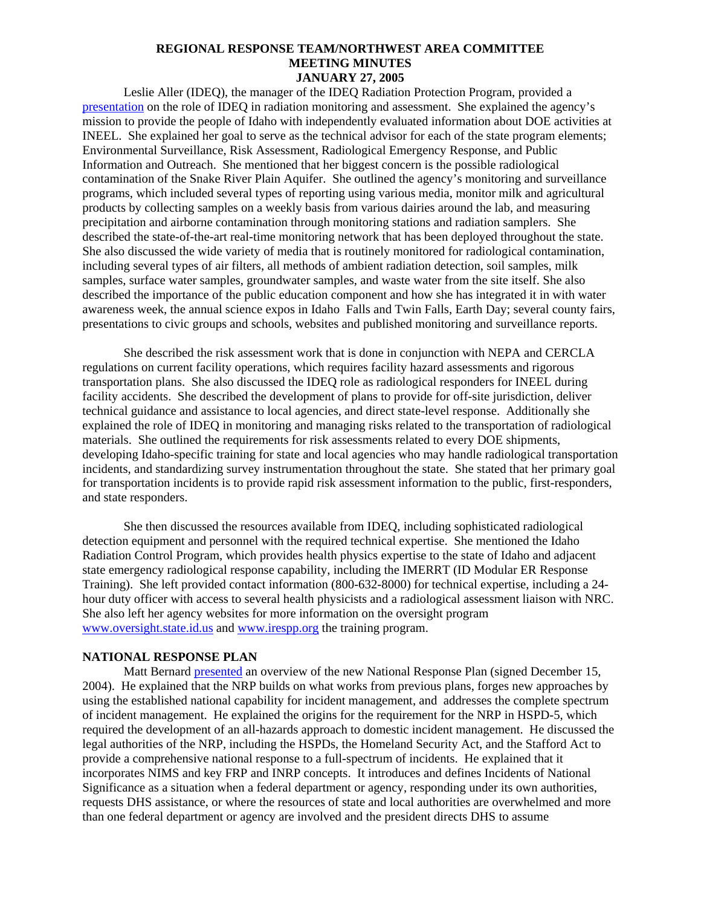Leslie Aller (IDEQ), the manager of the IDEQ Radiation Protection Program, provided a [presentation](http://portal.ene.com/files/temp/Tacoma%20presentation%2EPPT) on the role of IDEQ in radiation monitoring and assessment. She explained the agency's mission to provide the people of Idaho with independently evaluated information about DOE activities at INEEL. She explained her goal to serve as the technical advisor for each of the state program elements; Environmental Surveillance, Risk Assessment, Radiological Emergency Response, and Public Information and Outreach. She mentioned that her biggest concern is the possible radiological contamination of the Snake River Plain Aquifer. She outlined the agency's monitoring and surveillance programs, which included several types of reporting using various media, monitor milk and agricultural products by collecting samples on a weekly basis from various dairies around the lab, and measuring precipitation and airborne contamination through monitoring stations and radiation samplers. She described the state-of-the-art real-time monitoring network that has been deployed throughout the state. She also discussed the wide variety of media that is routinely monitored for radiological contamination, including several types of air filters, all methods of ambient radiation detection, soil samples, milk samples, surface water samples, groundwater samples, and waste water from the site itself. She also described the importance of the public education component and how she has integrated it in with water awareness week, the annual science expos in Idaho Falls and Twin Falls, Earth Day; several county fairs, presentations to civic groups and schools, websites and published monitoring and surveillance reports.

She described the risk assessment work that is done in conjunction with NEPA and CERCLA regulations on current facility operations, which requires facility hazard assessments and rigorous transportation plans. She also discussed the IDEQ role as radiological responders for INEEL during facility accidents. She described the development of plans to provide for off-site jurisdiction, deliver technical guidance and assistance to local agencies, and direct state-level response. Additionally she explained the role of IDEQ in monitoring and managing risks related to the transportation of radiological materials. She outlined the requirements for risk assessments related to every DOE shipments, developing Idaho-specific training for state and local agencies who may handle radiological transportation incidents, and standardizing survey instrumentation throughout the state. She stated that her primary goal for transportation incidents is to provide rapid risk assessment information to the public, first-responders, and state responders.

She then discussed the resources available from IDEQ, including sophisticated radiological detection equipment and personnel with the required technical expertise. She mentioned the Idaho Radiation Control Program, which provides health physics expertise to the state of Idaho and adjacent state emergency radiological response capability, including the IMERRT (ID Modular ER Response Training). She left provided contact information (800-632-8000) for technical expertise, including a 24 hour duty officer with access to several health physicists and a radiological assessment liaison with NRC. She also left her agency websites for more information on the oversight program [www.oversight.state.id.us](http://www.oversight.state.id.us/) and [www.irespp.org](http://www.irespp.org/) the training program.

### **NATIONAL RESPONSE PLAN**

Matt Bernard [presented](http://portal.ene.com/files/temp/NRP%20Brief%20Jan2005%2Eppt) an overview of the new National Response Plan (signed December 15, 2004). He explained that the NRP builds on what works from previous plans, forges new approaches by using the established national capability for incident management, and addresses the complete spectrum of incident management. He explained the origins for the requirement for the NRP in HSPD-5, which required the development of an all-hazards approach to domestic incident management. He discussed the legal authorities of the NRP, including the HSPDs, the Homeland Security Act, and the Stafford Act to provide a comprehensive national response to a full-spectrum of incidents. He explained that it incorporates NIMS and key FRP and INRP concepts. It introduces and defines Incidents of National Significance as a situation when a federal department or agency, responding under its own authorities, requests DHS assistance, or where the resources of state and local authorities are overwhelmed and more than one federal department or agency are involved and the president directs DHS to assume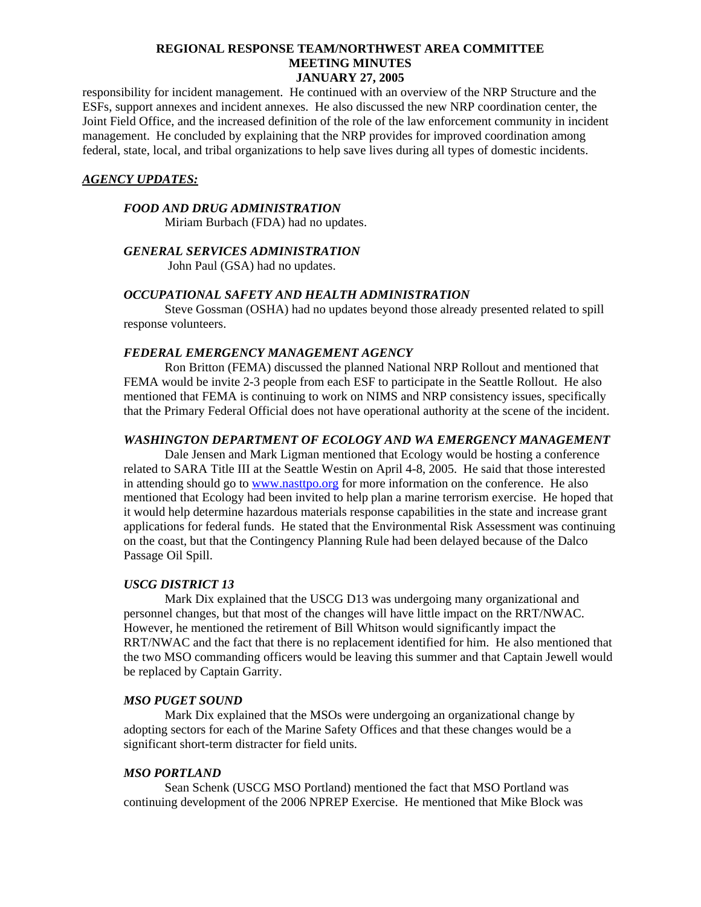responsibility for incident management. He continued with an overview of the NRP Structure and the ESFs, support annexes and incident annexes. He also discussed the new NRP coordination center, the Joint Field Office, and the increased definition of the role of the law enforcement community in incident management. He concluded by explaining that the NRP provides for improved coordination among federal, state, local, and tribal organizations to help save lives during all types of domestic incidents.

### *AGENCY UPDATES:*

### *FOOD AND DRUG ADMINISTRATION*

Miriam Burbach (FDA) had no updates.

### *GENERAL SERVICES ADMINISTRATION*

John Paul (GSA) had no updates.

### *OCCUPATIONAL SAFETY AND HEALTH ADMINISTRATION*

Steve Gossman (OSHA) had no updates beyond those already presented related to spill response volunteers.

### *FEDERAL EMERGENCY MANAGEMENT AGENCY*

Ron Britton (FEMA) discussed the planned National NRP Rollout and mentioned that FEMA would be invite 2-3 people from each ESF to participate in the Seattle Rollout. He also mentioned that FEMA is continuing to work on NIMS and NRP consistency issues, specifically that the Primary Federal Official does not have operational authority at the scene of the incident.

#### *WASHINGTON DEPARTMENT OF ECOLOGY AND WA EMERGENCY MANAGEMENT*

Dale Jensen and Mark Ligman mentioned that Ecology would be hosting a conference related to SARA Title III at the Seattle Westin on April 4-8, 2005. He said that those interested in attending should go to [www.nasttpo.org](http://www.nasstpo.org/) for more information on the conference. He also mentioned that Ecology had been invited to help plan a marine terrorism exercise. He hoped that it would help determine hazardous materials response capabilities in the state and increase grant applications for federal funds. He stated that the Environmental Risk Assessment was continuing on the coast, but that the Contingency Planning Rule had been delayed because of the Dalco Passage Oil Spill.

### *USCG DISTRICT 13*

Mark Dix explained that the USCG D13 was undergoing many organizational and personnel changes, but that most of the changes will have little impact on the RRT/NWAC. However, he mentioned the retirement of Bill Whitson would significantly impact the RRT/NWAC and the fact that there is no replacement identified for him. He also mentioned that the two MSO commanding officers would be leaving this summer and that Captain Jewell would be replaced by Captain Garrity.

#### *MSO PUGET SOUND*

Mark Dix explained that the MSOs were undergoing an organizational change by adopting sectors for each of the Marine Safety Offices and that these changes would be a significant short-term distracter for field units.

#### *MSO PORTLAND*

Sean Schenk (USCG MSO Portland) mentioned the fact that MSO Portland was continuing development of the 2006 NPREP Exercise. He mentioned that Mike Block was